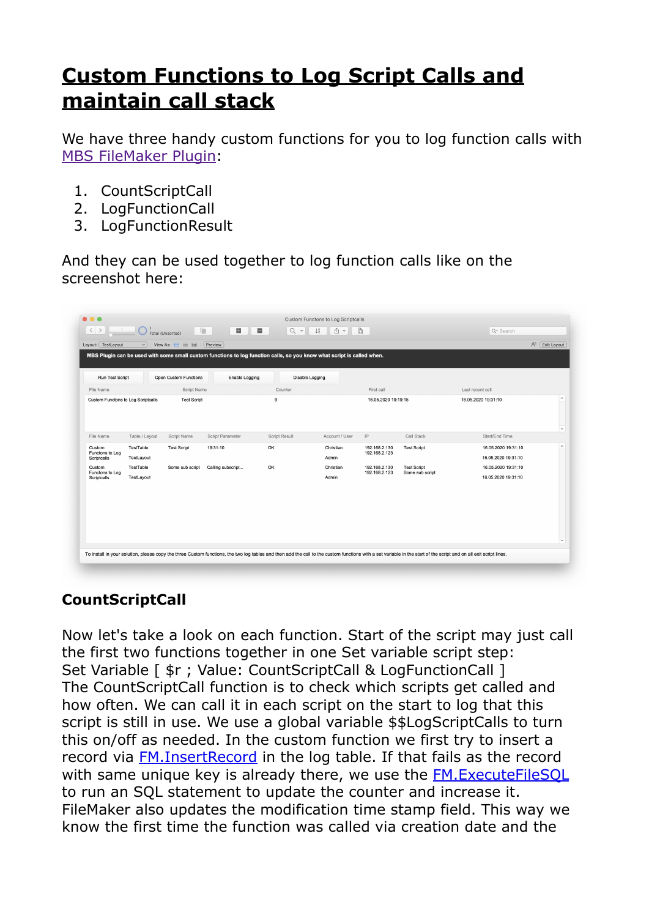## **[Custom Functions to Log Script Calls and](https://www.mbs-plugins.com/archive/2020-05-17/Custom_Functions_to_Log_Script/monkeybreadsoftware_blog_filemaker)  [maintain call stack](https://www.mbs-plugins.com/archive/2020-05-17/Custom_Functions_to_Log_Script/monkeybreadsoftware_blog_filemaker)**

We have three handy custom functions for you to log function calls with [MBS FileMaker Plugin](https://www.monkeybreadsoftware.com/filemaker/):

- 1. CountScriptCall
- 2. LogFunctionCall
- 3. LogFunctionResult

And they can be used together to log function calls like on the screenshot here:

| <b>Run Test Script</b>                   |                                    | Open Custom Functions |                   | Enable Logging<br>Disable Logging |                    |                                |                                       |                                            |                                     |
|------------------------------------------|------------------------------------|-----------------------|-------------------|-----------------------------------|--------------------|--------------------------------|---------------------------------------|--------------------------------------------|-------------------------------------|
| File Name                                |                                    | Script Name           |                   | Counter                           |                    | First call                     |                                       | Last recent call                           |                                     |
|                                          | Custom Functons to Log Scriptcalls | <b>Test Script</b>    |                   | 9                                 |                    | 16.05.2020 19:19:15            |                                       | 16.05.2020 19:31:10                        | $\hat{\phantom{a}}$<br>$\checkmark$ |
| File Name                                | Table / Layout                     | Script Name           | Script Parameter  | Script Result                     | Account / User     | IP                             | Call Stack                            | Start/End Time                             |                                     |
| Custom<br>Functons to Log<br>Scriptcalls | TestTable<br>TestLayout            | <b>Test Script</b>    | 19:31:10          | OK                                | Christian<br>Admin | 192.168.2.130<br>192.168.2.123 | <b>Test Script</b>                    | 16.05.2020 19:31:10<br>16.05.2020 19:31:10 | $\widehat{\phantom{a}}$             |
| Custom<br>Functons to Log<br>Scriptcalls | TestTable<br>TestLayout            | Some sub script       | Calling subscript | OK                                | Christian<br>Admin | 192.168.2.130<br>192.168.2.123 | <b>Test Script</b><br>Some sub script | 16.05.2020 19:31:10<br>16.05.2020 19:31:10 |                                     |
|                                          |                                    |                       |                   |                                   |                    |                                |                                       |                                            |                                     |
|                                          |                                    |                       |                   |                                   |                    |                                |                                       |                                            |                                     |

## **CountScriptCall**

Now let's take a look on each function. Start of the script may just call the first two functions together in one Set variable script step: Set Variable [  $\frac{1}{2}$  ; Value: CountScriptCall & LogFunctionCall ] The CountScriptCall function is to check which scripts get called and how often. We can call it in each script on the start to log that this script is still in use. We use a global variable \$\$LogScriptCalls to turn this on/off as needed. In the custom function we first try to insert a record via [FM.InsertRecord](https://www.mbsplugins.eu/FMInsertRecord.shtml) in the log table. If that fails as the record with same unique key is already there, we use the **FM.ExecuteFileSQL** to run an SQL statement to update the counter and increase it. FileMaker also updates the modification time stamp field. This way we know the first time the function was called via creation date and the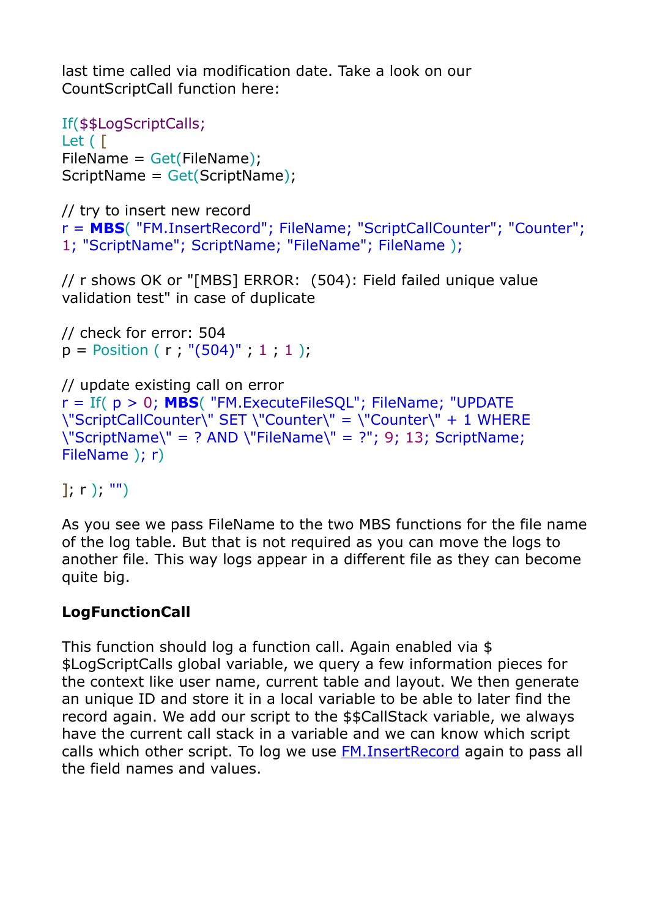last time called via modification date. Take a look on our CountScriptCall function here:

```
If($$LogScriptCalls; 
Let ( [
FileName = Get(FileName); 
ScriptName = Get(ScriptName);
```

```
// try to insert new record 
r = MBS( "FM.InsertRecord"; FileName; "ScriptCallCounter"; "Counter"; 
1; "ScriptName"; ScriptName; "FileName"; FileName );
```
// r shows OK or "[MBS] ERROR: (504): Field failed unique value validation test" in case of duplicate

```
// check for error: 504 
p = Position ( r ; "(504)" ; 1 ; 1 );
```

```
// update existing call on error 
r = If( p > 0; MBS( "FM.ExecuteFileSQL"; FileName; "UPDATE 
\"ScriptCallCounter\" SET \"Counter\" = \"Counter\" + 1 WHERE 
\"ScriptName\" = ? AND \"FileName\" = ?"; 9; 13; ScriptName; 
FileName ); r)
```
 $\ket{r}$ ; "")

As you see we pass FileName to the two MBS functions for the file name of the log table. But that is not required as you can move the logs to another file. This way logs appear in a different file as they can become quite big.

## **LogFunctionCall**

This function should log a function call. Again enabled via \$ \$LogScriptCalls global variable, we query a few information pieces for the context like user name, current table and layout. We then generate an unique ID and store it in a local variable to be able to later find the record again. We add our script to the \$\$CallStack variable, we always have the current call stack in a variable and we can know which script calls which other script. To log we use [FM.InsertRecord](https://www.mbsplugins.eu/FMInsertRecord.shtml) again to pass all the field names and values.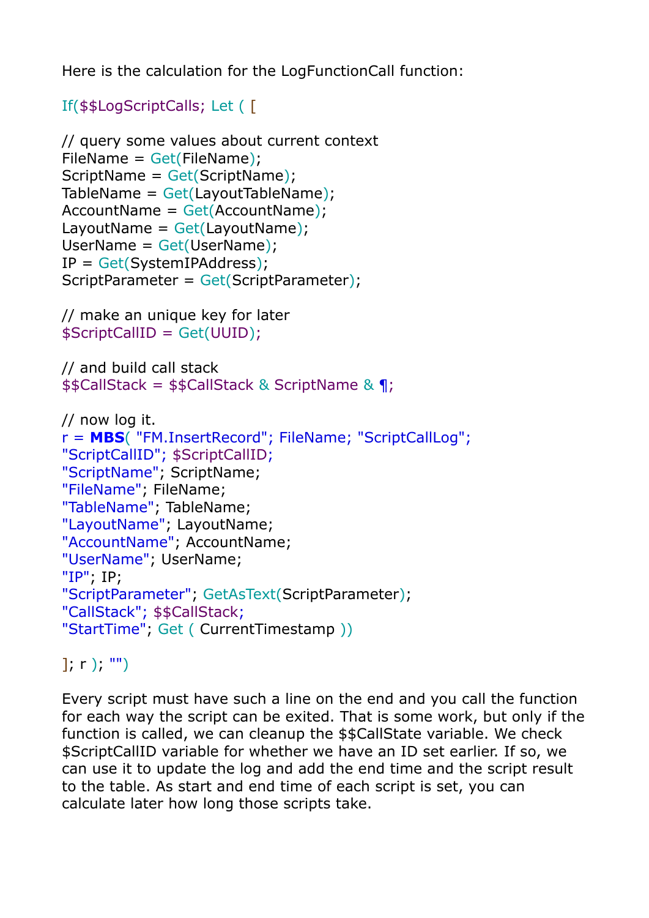Here is the calculation for the LogFunctionCall function:

```
If($$LogScriptCalls; Let ( [
```

```
// query some values about current context 
FileName = Get(FileName); 
ScriptName = Get(ScriptName);
TableName = Get(LayoutTableName);AccountName = Get(AccountName); 
LayoutName = Get(LayoutName);UserName = Get(UserName); 
IP = Get(SystemIPAddress); 
ScriptParameter = Get(ScriptParameter);
```

```
// make an unique key for later 
$ScriptCallID = Get(UUID);
```

```
// and build call stack 
$$CallStack = $$CallStack & ScriptName & ¶;
```

```
// now log it. 
r = MBS( "FM.InsertRecord"; FileName; "ScriptCallLog"; 
"ScriptCallID"; $ScriptCallID; 
"ScriptName"; ScriptName; 
"FileName"; FileName; 
"TableName"; TableName; 
"LayoutName"; LayoutName; 
"AccountName"; AccountName; 
"UserName"; UserName; 
"IP"; IP; 
"ScriptParameter"; GetAsText(ScriptParameter); 
"CallStack"; $$CallStack; 
"StartTime"; Get ( CurrentTimestamp ))
```
 $\ket{r}$ ; "")

Every script must have such a line on the end and you call the function for each way the script can be exited. That is some work, but only if the function is called, we can cleanup the \$\$CallState variable. We check \$ScriptCallID variable for whether we have an ID set earlier. If so, we can use it to update the log and add the end time and the script result to the table. As start and end time of each script is set, you can calculate later how long those scripts take.